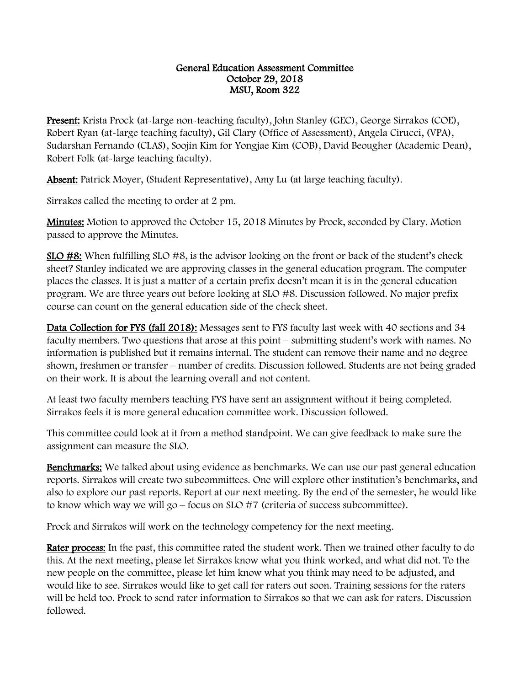## General Education Assessment Committee October 29, 2018 MSU, Room 322

Present: Krista Prock (at-large non-teaching faculty), John Stanley (GEC), George Sirrakos (COE), Robert Ryan (at-large teaching faculty), Gil Clary (Office of Assessment), Angela Cirucci, (VPA), Sudarshan Fernando (CLAS), Soojin Kim for Yongjae Kim (COB), David Beougher (Academic Dean), Robert Folk (at-large teaching faculty).

Absent: Patrick Moyer, (Student Representative), Amy Lu (at large teaching faculty).

Sirrakos called the meeting to order at 2 pm.

**Minutes:** Motion to approved the October 15, 2018 Minutes by Prock, seconded by Clary. Motion passed to approve the Minutes.

SLO #8: When fulfilling SLO #8, is the advisor looking on the front or back of the student's check sheet? Stanley indicated we are approving classes in the general education program. The computer places the classes. It is just a matter of a certain prefix doesn't mean it is in the general education program. We are three years out before looking at SLO #8. Discussion followed. No major prefix course can count on the general education side of the check sheet.

Data Collection for FYS (fall 2018): Messages sent to FYS faculty last week with 40 sections and 34 faculty members. Two questions that arose at this point – submitting student's work with names. No information is published but it remains internal. The student can remove their name and no degree shown, freshmen or transfer – number of credits. Discussion followed. Students are not being graded on their work. It is about the learning overall and not content.

At least two faculty members teaching FYS have sent an assignment without it being completed. Sirrakos feels it is more general education committee work. Discussion followed.

This committee could look at it from a method standpoint. We can give feedback to make sure the assignment can measure the SLO.

**Benchmarks:** We talked about using evidence as benchmarks. We can use our past general education reports. Sirrakos will create two subcommittees. One will explore other institution's benchmarks, and also to explore our past reports. Report at our next meeting. By the end of the semester, he would like to know which way we will go – focus on SLO #7 (criteria of success subcommittee).

Prock and Sirrakos will work on the technology competency for the next meeting.

Rater process: In the past, this committee rated the student work. Then we trained other faculty to do this. At the next meeting, please let Sirrakos know what you think worked, and what did not. To the new people on the committee, please let him know what you think may need to be adjusted, and would like to see. Sirrakos would like to get call for raters out soon. Training sessions for the raters will be held too. Prock to send rater information to Sirrakos so that we can ask for raters. Discussion followed.